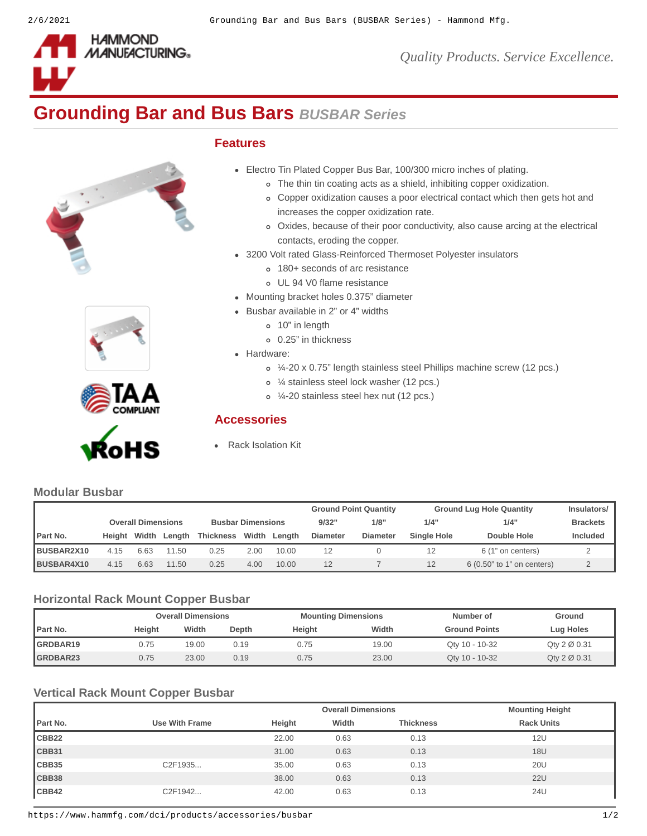

*Quality Products. Service Excellence.*

# **Grounding Bar and Bus Bars** *BUSBAR Series*

### **Features**

- Electro Tin Plated Copper Bus Bar, 100/300 micro inches of plating.
	- The thin tin coating acts as a shield, inhibiting copper oxidization.
	- Copper oxidization causes a poor electrical contact which then gets hot and increases the copper oxidization rate.
	- Oxides, because of their poor conductivity, also cause arcing at the electrical contacts, eroding the copper.
- 3200 Volt rated Glass-Reinforced Thermoset Polyester insulators
	- 180+ seconds of arc resistance
	- UL 94 V0 flame resistance
- Mounting bracket holes 0.375" diameter
- Busbar available in 2" or 4" widths
	- 10" in length
	- 0.25" in thickness
- Hardware:
	- ¼-20 x 0.75" length stainless steel Phillips machine screw (12 pcs.)
	- ¼ stainless steel lock washer (12 pcs.)
	- ¼-20 stainless steel hex nut (12 pcs.)

### **Accessories**

**[Rack Isolation Kit](https://www.hammfg.com/dci/products/accessories/rik?referer=1098&itm_type=accessory)** 

## **Modular Busbar**

|            |        |                           |        |                          | <b>Ground Point Quantity</b> |        | <b>Ground Lug Hole Quantity</b> |                 | <b>Insulators/</b> |                            |                 |
|------------|--------|---------------------------|--------|--------------------------|------------------------------|--------|---------------------------------|-----------------|--------------------|----------------------------|-----------------|
|            |        | <b>Overall Dimensions</b> |        | <b>Busbar Dimensions</b> |                              |        | 9/32"                           | 1/8"            | 1/4"               | 1/4"                       | <b>Brackets</b> |
| Part No.   | Heiaht | Width                     | Length | <b>Thickness</b>         | Width                        | Length | <b>Diameter</b>                 | <b>Diameter</b> | Single Hole        | Double Hole                | <b>Included</b> |
| BUSBAR2X10 | 4.15   | 6.63                      | 11.50  | 0.25                     | 2.00                         | 10.00  | 12                              |                 |                    | 6 (1" on centers)          |                 |
| BUSBAR4X10 | 4.15   | 6.63                      | 11.50  | 0.25                     | 4.00                         | 10.00  | 12                              |                 |                    | 6 (0.50" to 1" on centers) |                 |

### **Horizontal Rack Mount Copper Busbar**

|                 | <b>Overall Dimensions</b> |       |       | <b>Mounting Dimensions</b> |       | Number of            | Ground                    |
|-----------------|---------------------------|-------|-------|----------------------------|-------|----------------------|---------------------------|
| Part No.        | Height                    | Width | Depth | Height                     | Width | <b>Ground Points</b> | Lug Holes                 |
| GRDBAR19        | 0.75                      | 19.00 | 0.19  | 0.75                       | 19.00 | Oty 10 - 10-32       | $Q$ ty 2 $\emptyset$ 0.31 |
| <b>GRDBAR23</b> | 0.75                      | 23.00 | 0.19  | 0.75                       | 23.00 | Qty 10 - 10-32       | Qty $2 \varnothing$ 0.31  |

### **Vertical Rack Mount Copper Busbar**

|                   |                       |        | <b>Overall Dimensions</b> |                  | <b>Mounting Height</b> |  |
|-------------------|-----------------------|--------|---------------------------|------------------|------------------------|--|
| Part No.          | <b>Use With Frame</b> | Height | Width                     | <b>Thickness</b> | <b>Rack Units</b>      |  |
| CBB <sub>22</sub> |                       | 22.00  | 0.63                      | 0.13             | 12U                    |  |
| CBB31             |                       | 31.00  | 0.63                      | 0.13             | 18U                    |  |
| CBB35             | C2F1935               | 35.00  | 0.63                      | 0.13             | <b>20U</b>             |  |
| CBB38             |                       | 38.00  | 0.63                      | 0.13             | <b>22U</b>             |  |
| CBB42             | C2F1942               | 42.00  | 0.63                      | 0.13             | 24U                    |  |